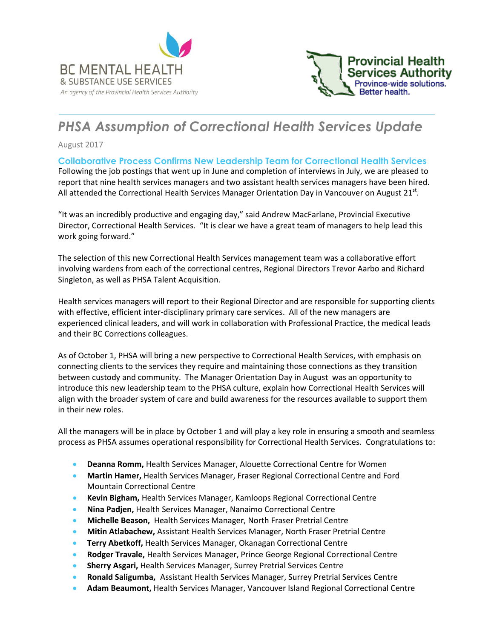



# *PHSA Assumption of Correctional Health Services Update*

August 2017

**Collaborative Process Confirms New Leadership Team for Correctional Health Services** Following the job postings that went up in June and completion of interviews in July, we are pleased to report that nine health services managers and two assistant health services managers have been hired.

"It was an incredibly productive and engaging day," said Andrew MacFarlane, Provincial Executive Director, Correctional Health Services. "It is clear we have a great team of managers to help lead this work going forward."

All attended the Correctional Health Services Manager Orientation Day in Vancouver on August 21st.

The selection of this new Correctional Health Services management team was a collaborative effort involving wardens from each of the correctional centres, Regional Directors Trevor Aarbo and Richard Singleton, as well as PHSA Talent Acquisition.

Health services managers will report to their Regional Director and are responsible for supporting clients with effective, efficient inter-disciplinary primary care services. All of the new managers are experienced clinical leaders, and will work in collaboration with Professional Practice, the medical leads and their BC Corrections colleagues.

As of October 1, PHSA will bring a new perspective to Correctional Health Services, with emphasis on connecting clients to the services they require and maintaining those connections as they transition between custody and community. The Manager Orientation Day in August was an opportunity to introduce this new leadership team to the PHSA culture, explain how Correctional Health Services will align with the broader system of care and build awareness for the resources available to support them in their new roles.

All the managers will be in place by October 1 and will play a key role in ensuring a smooth and seamless process as PHSA assumes operational responsibility for Correctional Health Services. Congratulations to:

- **Deanna Romm,** Health Services Manager, Alouette Correctional Centre for Women
- **Martin Hamer,** Health Services Manager, Fraser Regional Correctional Centre and Ford Mountain Correctional Centre
- **Kevin Bigham,** Health Services Manager, Kamloops Regional Correctional Centre
- **Nina Padjen,** Health Services Manager, Nanaimo Correctional Centre
- **Michelle Beason,** Health Services Manager, North Fraser Pretrial Centre
- **Mitin Atlabachew,** Assistant Health Services Manager, North Fraser Pretrial Centre
- **Terry Abetkoff,** Health Services Manager, Okanagan Correctional Centre
- **Rodger Travale,** Health Services Manager, Prince George Regional Correctional Centre
- **Sherry Asgari,** Health Services Manager, Surrey Pretrial Services Centre
- **Ronald Saligumba,** Assistant Health Services Manager, Surrey Pretrial Services Centre
- **Adam Beaumont,** Health Services Manager, Vancouver Island Regional Correctional Centre